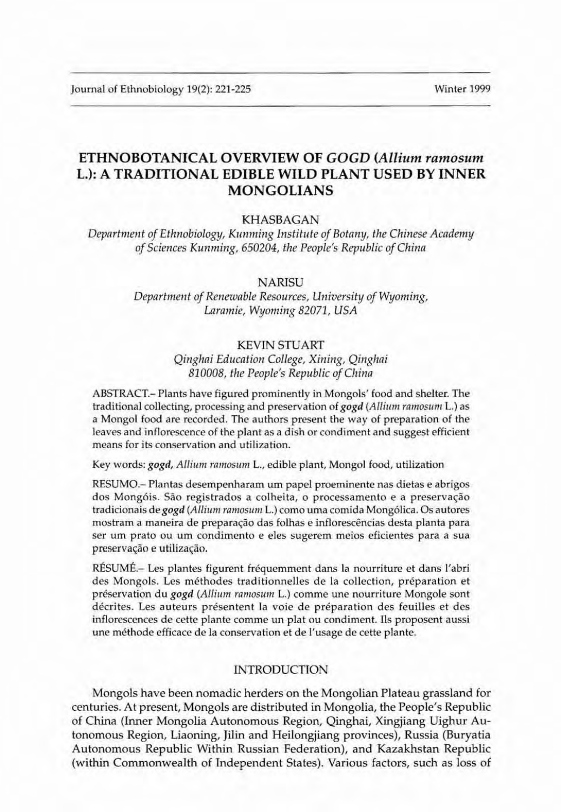Journal of Elhnobiology 19(2): 221-225 Winter 1999

# ETHNOBOTANICAL OVERVIEW OF *GOGD (Allium ramasum* L.): A TRADITIONAL EDIBLE WILD PLANT USED BY INNER MONGOLIANS

## KHASBAGAN

*Department of Elhnobiology, Klllllning Institllte oj Botany, the Chinese Academy*  $of$  *Sciences Kunming, 650204, the People's Republic of China* 

#### NARISU

*Department* of *Renewable Resources*, *University* of *Wyoming*, *Laramie, Wyoming 82071, USA*

### KEVIN STUART

*Qinghai EducatiOIl College, Xining, Qinghai*  $810008$ , the People's Republic of China

ABSTRACT.- Plants have figured prominently in Mongols' food and shelter. The traditional collecting, processing and preservation of gogd (Allium ramosum L.) as a Mongol food are recorded. The authors present the way of preparation of the leaves and inflorescence of the plant as a dish or condiment and suggest efficient means for its conservation and utilization.

Key words: gogd, Allium ramosum L., edible plant, Mongol food, utilization

RESUMO.- Plantas desempenharam um papel proeminente nas dietas e abrigos dos Mongóis. São registrados a colheita, o processamento e a preservação tradicionais de gogd (Allium ramosum L.) como uma comida Mongólica. Os autores mostram a maneira de preparação das folhas e inflorescências desta planta para ser um prato ou um condimento e eles sugerem meios eficientes para a sua preservação e utilização.

RÉSUMÉ.- Les plantes figurent fréquemment dans la nourriture et dans l'abri des Mongols. Les methodes traditionnelles de la collection, preparation et préservation du *gogd* (Allium ramosum L.) comme une nourriture Mongole sont décrites. Les auteurs présentent la voie de préparation des feuilles et des inflorescences de cette plante comme un plat ou condiment. Ils proposent aussi une méthode efficace de la conservation et de l'usage de cette plante.

### INTRODUCTION

Mongols have been nomadic herders on the Mongolian Plateau grassland for centuries. At present, Mongols are distributed in Mongolia, the People's Republic of China (Irmer Mongolia Autonomous Region, Qinghai, Xingjiang Uighur Autonomous Region, Liaoning, Jilin and Heilongjiang provinces), Russia (Buryatia Autonomous Republic Within Russian Federation), and Kazakhstan Republic (within Commonwealth of Independent States). Various factors, such as loss of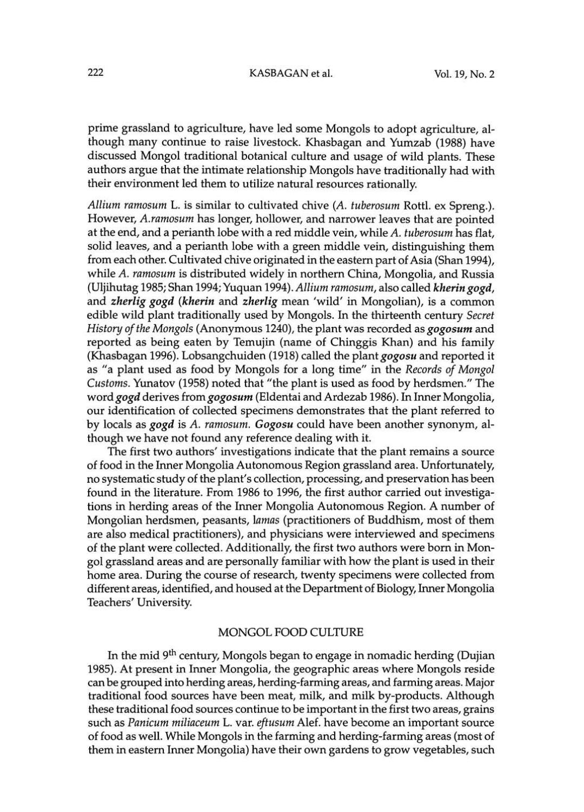prime grassland to agriculture, have led some Mongols to adopt agriculture, al~ though many continue to raise livestock. Khasbagan and Yumzab (1988) have discussed Mongol traditional botanical culture and usage of wild plants. These authors argue that the intimate relationship Mongols have traditionally had with their environment led them to utilize natural resources rationally.

Allium ramosum L. is similar to cultivated chive  $(A.$  tuberosum Rottl. ex Spreng.). However, *A.rarnosum* has longer, hollower, and narrower leaves that are pointed at the end, and a perianth lobe with a red middle vein, while A. tuberosum has flat, solid leaves, and a perianth lobe with a green middle vein, distinguishing them from each other. Cultivated chive originated in the eastern part of Asia (Shan 1994), while A. *ramosum* is distributed widely in northern China, Mongolia, and Russia (Uljihutag 1985; Shan 1994;Yuquan 1994). *Allium ramosum,* also called *kheringogd,* and *zherlig gogd (kherin* and *zherlig* mean 'wild' in Mongolian), is a common edible wild plant traditionally used by Mongols. In the thirteenth century *Secret History ofthe Mongols* (Anonymous 1240), the plant was recorded *asgogosum* and reported as being eaten by Temujin (name of Chinggis Khan) and his family (Khasbagan 1996). Lobsangchuiden (1918) called the *plantgogosu* and reported it as "a plant used as food by Mongols for a long time" in the *Records of Mongol Customs.* Yunatov (1958) noted that "the plant is used as food by herdsmen." The word *gogd* derives from *gogosum* (Eldentai and Ardezab 1986). In Inner Mongolia, our identification of collected specimens demonstrates that the plant referred to by locals as *gogd* is A. *ramosum. Cogosu* could have been another synonym, although we have not found any reference dealing with it.

The first two authors' investigations indicate that the plant remains a source of food in the Inner Mongolia Autonomous Region grassland area. Unfortunately, no systematic study of the plant's collection, processing, and preservation has been found in the literature. From 1986 to 1996, the first author carried out investigations in herding areas of the Inner Mongolia Autonomous Region. A number of Mongolian herdsmen, peasants, *lamas* (practitioners of Buddhism, most of them are also medical practitioners), and physicians were interviewed and specimens of the plant were collected. Additionally, the first two authors were born in Mongol grassland areas and are personally familiar with how the plant is used in their home area. During the course of research, twenty specimens were collected from different areas, identified, and housed at the Department of Biology, Inner Mongolia Teachers' University.

#### MONGOL FOOD CULTURE

In the mid 9<sup>th</sup> century, Mongols began to engage in nomadic herding (Dujian 1985). At present in Inner Mongolia, the geographic areas where Mongols reside can be grouped into herding areas, herding-farming areas, and fanning areas. Major traditional food sources have been meat, milk, and milk by-products. Although these traditional food sources continue to be important in the first two areas, grains such as *Panicum miliaceum* L. var. *eftusum* Alef. have become an important source offood as well. While Mongols in the farming and herding-farming areas (most of them in eastern Inner Mongolia) have their own gardens to grow vegetables, such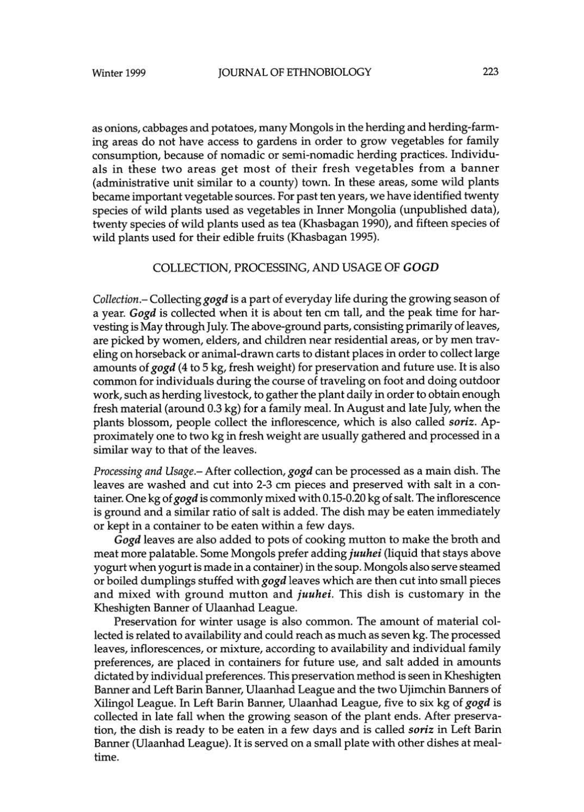as onions, cabbages and potatoes, many Mongols in the herding and herding-farming areas do not have access to gardens in order to grow vegetables for family consumption, because of nomadic or semi-nomadic herding practices. Individuals in these two areas get most of their fresh vegetables from a banner (administrative unit similar to a county) town. In these areas, some wild plants became important vegetable sources. For past ten years, we have identified. twenty species of wild plants used as vegetables in Inner Mongolia (unpublished data), twenty species of wild plants used as tea (Khasbagan 1990), and fifteen species of wild plants used for their edible fruits (Khasbagan 1995).

#### COLLECTION, PROCESSING, AND USAGE OF GOGO

*Collection.*- Collecting gogd is a part of everyday life during the growing season of a year. *Gogd* is collected when it is about ten cm tall, and the peak time for harvesting is May through July. The above-ground parts, consisting primarily ofleaves, are picked by women, elders, and children near residential areas, or by men traveling on horseback or animal-drawn carts to distant places in order to collect large amounts of *gogd* (4 to 5 kg, fresh weight) for preservation and future use. It is also common for individuals during the course of traveling on foot and doing outdoor work, such as herding livestock, to gather the plant daily in order to obtain enough fresh material (around 0.3 kg) for a family meal. In August and late July, when the plants blossom, people collect the inflorescence, which is also called. *sonz.* Approximately one to two kg in fresh weight are usually gathered and processed in a similar way to that of the leaves.

*Processing and Usage.-* After collection, *gogd* can be processed as a main dish. The leaves are washed and cut into 2-3 cm pieces and preserved with salt in a container. One kg of *gogd* is commonly mixed with 0.15-0.20 kg of salt. The inflorescence is ground and a similar ratio of salt is added. The dish may be eaten immediately or kept in a container to be eaten within a few days.

*Gogd* leaves are also added to pots of cooking mutton to make the broth and meat more palatable. Some Mongols prefer *addingjuuhei* (liquid that stays above yogurt when yogurt is made in a container) in the soup. Mongols also serve steamed or boiled dumplings stuffed *withgogd* leaves which are then cut into small pieces and mixed with ground mutton and *juuhei.* This dish is customary in the Kheshigten Banner of Ulaanhad League.

Preservation for winter usage is also common. The amount of material collected is related to availability and could reach as much as seven kg. The processed leaves, inflorescences, or mixture, according to availability and individual family preferences, are placed in containers for future use, and salt added in amounts dictated by individual preferences. This preservation method is seen in Kheshigten Banner and Left Sarin Banner, Ulaanhad League and the two Ujimchin Banners of Xilingol League. In Left Barin Banner, Ulaanhad League, five to six kg of *gogd* is collected in late fall when the growing season of the plant ends. After preservation, the dish is ready to be eaten in a few days and is called *soriz* in Left Barin Banner (Ulaanhad League). It is served on a small plate with other dishes at mealtime.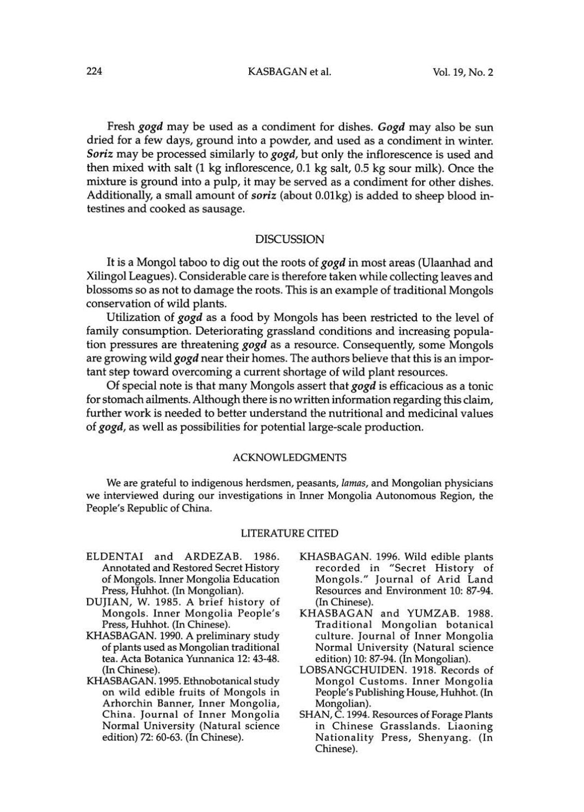## 224 KASBAGAN et al. Vol. 19, No.2

Fresh gogd may be used as a condiment for dishes. Gogd may also be sun dried for a few days, ground into a powder, and used as a condiment in winter. *50riz* may be processed similarly to *gogd,* but only the inflorescence is used and then mixed with salt (1 kg inflorescence, 0.1 kg salt, 0.5 kg sour milk). Once the mixture is ground into a pulp, it may be served as a condiment for other dishes. Additionally, a small amount of *soriz* (about 0.01kg) is added to sheep blood intestines and cooked as sausage.

#### DISCUSSION

It is a Mongol taboo to dig out the roots of gogd in most areas (Ulaanhad and Xilingol Leagues). Considerable care is therefore taken while collecting leaves and blossoms so as not to damage the roots. This is an example of traditional Mongols conservation of wild plants.

Utilization of gogd as a food by Mongols has been restricted to the level of family consumption. Deteriorating grassland conditions and increasing popula~ tion pressures are threatening gogd as a resource. Consequently, some Mongols are growing wild  $\gcd$  near their homes. The authors believe that this is an important step toward overcoming a current shortage of wild plant resources.

Of special note is that many Mongols assert that  $q \circ q$  is efficacious as a tonic for stomach ailments. Although there is no written information regarding this claim, further work is needed to better understand the nutritional and medicinal values of gogd, as well as possibilities for potential large-scale production.

#### ACKNOWLEDGMENTS

We are grateful to indigenous herdsmen, peasants, *lamas,* and Mongolian physicians we interviewed during our investigations in Inner Mongolia Autonomous Region, the People's Republic of China.

#### LITERATURE CITED

- ELDENTAI and ARDEZAB. 1986. Annotated and Restored Secret History of Mongols. Inner Mongolia Education Press, Huhhot. (In Mongolian).
- DUjIAN, W. 1985. A brief history of Mongols. Inner Mongolia People's Press, Huhhot. (In Chinese).
- KHASBAGAN. 1990. A preliminary study of plants used as Mongolian traditional tea. Acta Botanica Yunnanica 12: 43-48. (In Chinese).
- KHASBAGAN. 1995. Ethnobotanical study on wild edible fruits of Mongols in Arhorchin Banner, Inner Mongolia, China. Journal of Inner Mongolia Normal University (Natural science edition) 72: 60-63. (In Chinese).
- KHASBAGAN. 1996. Wild edible plants recorded in "Secret History of Mongols." Journal of Arid Land Resources and Environment 10: 87-94. (In Chinese).
- KHASBAGAN and YUMZAB. 1988. Traditional Mongolian botanical culture. Journal of Inner Mongolia Normal University (Natural science edition) 10: 87~94. (In Mongolian).
- LOBSANGCHUIDEN. 1918. Records of Mongol Customs. Inner Mongolia People's Publishing House, Huhhot. (In Mongolian).
- SHAN, C. 1994. Resources of Forage Plants in Chinese Grasslands. Liaoning Nationality Press, Shenyang. (In Chinese).